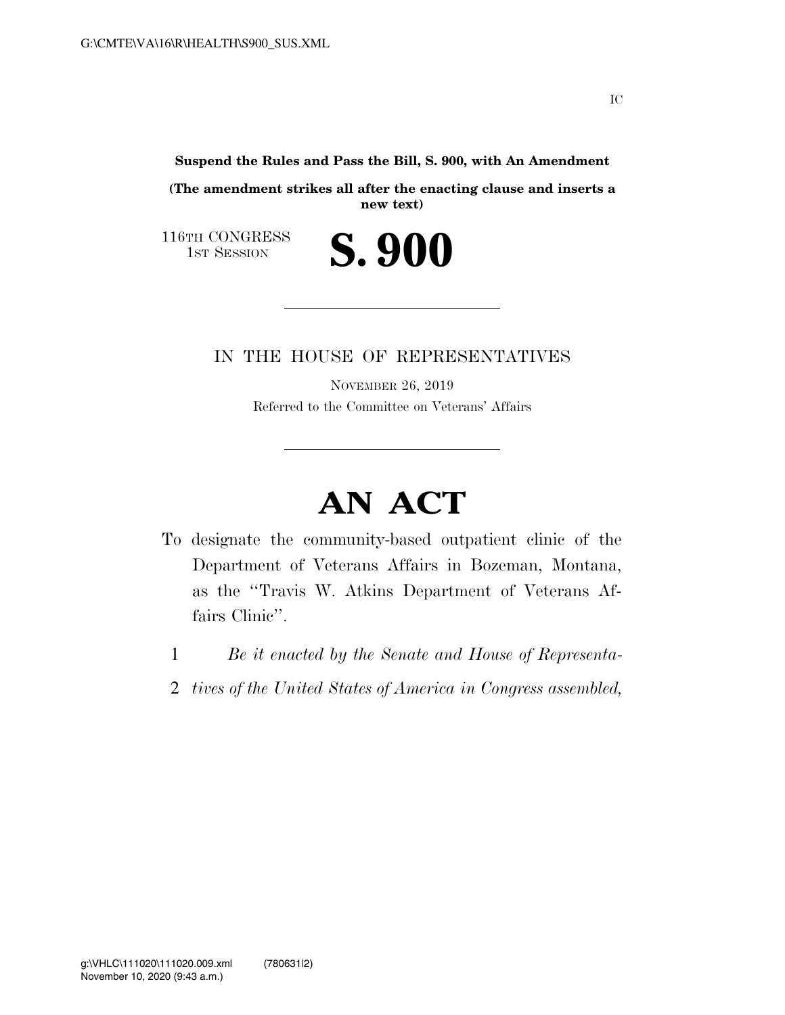**Suspend the Rules and Pass the Bill, S. 900, with An Amendment** 

**(The amendment strikes all after the enacting clause and inserts a new text)** 

S. 900

116TH CONGRESS<br>1st Session

## IN THE HOUSE OF REPRESENTATIVES

NOVEMBER 26, 2019 Referred to the Committee on Veterans' Affairs

## **AN ACT**

- To designate the community-based outpatient clinic of the Department of Veterans Affairs in Bozeman, Montana, as the ''Travis W. Atkins Department of Veterans Affairs Clinic''.
	- 1 *Be it enacted by the Senate and House of Representa-*
	- 2 *tives of the United States of America in Congress assembled,*